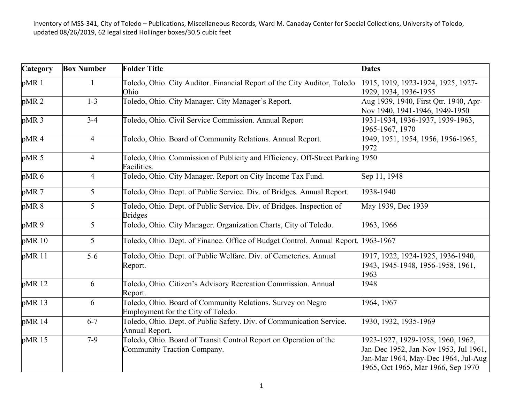| Category         | <b>Box Number</b> | <b>Folder Title</b>                                                                               | <b>Dates</b>                                                                                                                                            |
|------------------|-------------------|---------------------------------------------------------------------------------------------------|---------------------------------------------------------------------------------------------------------------------------------------------------------|
| pMR 1            |                   | Toledo, Ohio. City Auditor. Financial Report of the City Auditor, Toledo<br>Ohio                  | 1915, 1919, 1923-1924, 1925, 1927-<br>1929, 1934, 1936-1955                                                                                             |
| pMR <sub>2</sub> | $1 - 3$           | Toledo, Ohio. City Manager. City Manager's Report.                                                | Aug 1939, 1940, First Qtr. 1940, Apr-<br>Nov 1940, 1941-1946, 1949-1950                                                                                 |
| pMR <sub>3</sub> | $3-4$             | Toledo, Ohio. Civil Service Commission. Annual Report                                             | 1931-1934, 1936-1937, 1939-1963,<br>1965-1967, 1970                                                                                                     |
| pMR4             | $\overline{4}$    | Toledo, Ohio. Board of Community Relations. Annual Report.                                        | 1949, 1951, 1954, 1956, 1956-1965,<br>1972                                                                                                              |
| pMR 5            | $\overline{4}$    | Toledo, Ohio. Commission of Publicity and Efficiency. Off-Street Parking 1950<br>Facilities.      |                                                                                                                                                         |
| pMR <sub>6</sub> | $\overline{4}$    | Toledo, Ohio. City Manager. Report on City Income Tax Fund.                                       | Sep 11, 1948                                                                                                                                            |
| pMR 7            | 5                 | Toledo, Ohio. Dept. of Public Service. Div. of Bridges. Annual Report.                            | 1938-1940                                                                                                                                               |
| pMR 8            | 5                 | Toledo, Ohio. Dept. of Public Service. Div. of Bridges. Inspection of<br><b>Bridges</b>           | May 1939, Dec 1939                                                                                                                                      |
| pMR9             | 5                 | Toledo, Ohio. City Manager. Organization Charts, City of Toledo.                                  | 1963, 1966                                                                                                                                              |
| pMR 10           | 5                 | Toledo, Ohio. Dept. of Finance. Office of Budget Control. Annual Report.                          | 1963-1967                                                                                                                                               |
| pMR 11           | $5-6$             | Toledo, Ohio. Dept. of Public Welfare. Div. of Cemeteries. Annual<br>Report.                      | 1917, 1922, 1924-1925, 1936-1940,<br>1943, 1945-1948, 1956-1958, 1961,<br>1963                                                                          |
| pMR 12           | 6                 | Toledo, Ohio. Citizen's Advisory Recreation Commission. Annual<br>Report.                         | 1948                                                                                                                                                    |
| pMR 13           | 6                 | Toledo, Ohio. Board of Community Relations. Survey on Negro<br>Employment for the City of Toledo. | 1964, 1967                                                                                                                                              |
| pMR 14           | $6 - 7$           | Toledo, Ohio. Dept. of Public Safety. Div. of Communication Service.<br>Annual Report.            | 1930, 1932, 1935-1969                                                                                                                                   |
| pMR 15           | $7-9$             | Toledo, Ohio. Board of Transit Control Report on Operation of the<br>Community Traction Company.  | 1923-1927, 1929-1958, 1960, 1962,<br>Jan-Dec 1952, Jan-Nov 1953, Jul 1961,<br>Jan-Mar 1964, May-Dec 1964, Jul-Aug<br>1965, Oct 1965, Mar 1966, Sep 1970 |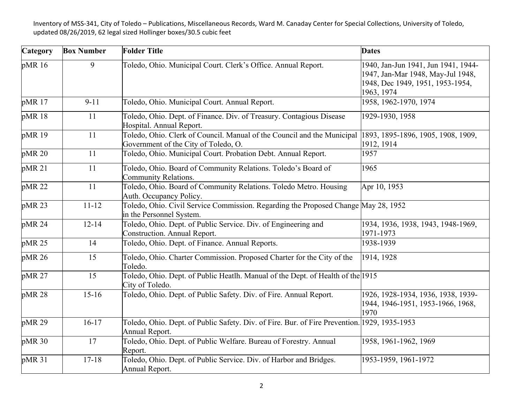| Category | <b>Box Number</b> | <b>Folder Title</b>                                                                                             | <b>Dates</b>                                                                                                               |
|----------|-------------------|-----------------------------------------------------------------------------------------------------------------|----------------------------------------------------------------------------------------------------------------------------|
| pMR 16   | 9                 | Toledo, Ohio. Municipal Court. Clerk's Office. Annual Report.                                                   | 1940, Jan-Jun 1941, Jun 1941, 1944-<br>1947, Jan-Mar 1948, May-Jul 1948,<br>1948, Dec 1949, 1951, 1953-1954,<br>1963, 1974 |
| pMR 17   | $9 - 11$          | Toledo, Ohio. Municipal Court. Annual Report.                                                                   | 1958, 1962-1970, 1974                                                                                                      |
| pMR 18   | 11                | Toledo, Ohio. Dept. of Finance. Div. of Treasury. Contagious Disease<br>Hospital. Annual Report.                | 1929-1930, 1958                                                                                                            |
| pMR 19   | 11                | Toledo, Ohio. Clerk of Council. Manual of the Council and the Municipal<br>Government of the City of Toledo, O. | 1893, 1895-1896, 1905, 1908, 1909,<br>1912, 1914                                                                           |
| pMR 20   | 11                | Toledo, Ohio. Municipal Court. Probation Debt. Annual Report.                                                   | 1957                                                                                                                       |
| pMR 21   | 11                | Toledo, Ohio. Board of Community Relations. Toledo's Board of<br>Community Relations.                           | 1965                                                                                                                       |
| pMR 22   | 11                | Toledo, Ohio. Board of Community Relations. Toledo Metro. Housing<br>Auth. Occupancy Policy.                    | Apr 10, 1953                                                                                                               |
| pMR 23   | $11 - 12$         | Toledo, Ohio. Civil Service Commission. Regarding the Proposed Change May 28, 1952<br>in the Personnel System.  |                                                                                                                            |
| pMR 24   | $12 - 14$         | Toledo, Ohio. Dept. of Public Service. Div. of Engineering and<br>Construction. Annual Report.                  | 1934, 1936, 1938, 1943, 1948-1969,<br>1971-1973                                                                            |
| pMR 25   | 14                | Toledo, Ohio. Dept. of Finance. Annual Reports.                                                                 | 1938-1939                                                                                                                  |
| pMR 26   | 15                | Toledo, Ohio. Charter Commission. Proposed Charter for the City of the<br>Toledo.                               | 1914, 1928                                                                                                                 |
| pMR 27   | 15                | Toledo, Ohio. Dept. of Public Heatlh. Manual of the Dept. of Health of the 1915<br>City of Toledo.              |                                                                                                                            |
| pMR 28   | $15-16$           | Toledo, Ohio. Dept. of Public Safety. Div. of Fire. Annual Report.                                              | 1926, 1928-1934, 1936, 1938, 1939-<br>1944, 1946-1951, 1953-1966, 1968,<br>1970                                            |
| pMR 29   | $16-17$           | Toledo, Ohio. Dept. of Public Safety. Div. of Fire. Bur. of Fire Prevention. 1929, 1935-1953<br>Annual Report.  |                                                                                                                            |
| pMR 30   | 17                | Toledo, Ohio. Dept. of Public Welfare. Bureau of Forestry. Annual<br>Report.                                    | 1958, 1961-1962, 1969                                                                                                      |
| pMR 31   | $17 - 18$         | Toledo, Ohio. Dept. of Public Service. Div. of Harbor and Bridges.<br>Annual Report.                            | 1953-1959, 1961-1972                                                                                                       |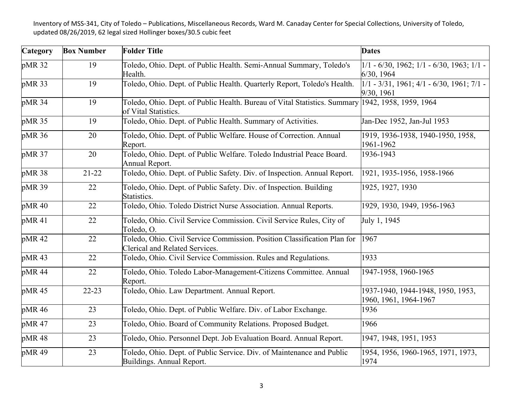| Category          | <b>Box Number</b> | <b>Folder Title</b>                                                                                        | <b>Dates</b>                                                    |
|-------------------|-------------------|------------------------------------------------------------------------------------------------------------|-----------------------------------------------------------------|
| pMR 32            | 19                | Toledo, Ohio. Dept. of Public Health. Semi-Annual Summary, Toledo's<br>Health.                             | $1/1 - 6/30$ , 1962; $1/1 - 6/30$ , 1963; $1/1 -$<br>6/30, 1964 |
| pMR 33            | 19                | Toledo, Ohio. Dept. of Public Health. Quarterly Report, Toledo's Health.                                   | $1/1 - 3/31$ , 1961; 4/1 - 6/30, 1961; 7/1 -<br>9/30, 1961      |
| pMR 34            | 19                | Toledo, Ohio. Dept. of Public Health. Bureau of Vital Statistics. Summary<br>of Vital Statistics.          | 1942, 1958, 1959, 1964                                          |
| pMR 35            | 19                | Toledo, Ohio. Dept. of Public Health. Summary of Activities.                                               | Jan-Dec 1952, Jan-Jul 1953                                      |
| pMR 36            | 20                | Toledo, Ohio. Dept. of Public Welfare. House of Correction. Annual<br>Report.                              | 1919, 1936-1938, 1940-1950, 1958,<br>1961-1962                  |
| pMR 37            | 20                | Toledo, Ohio. Dept. of Public Welfare. Toledo Industrial Peace Board.<br>Annual Report.                    | 1936-1943                                                       |
| pMR 38            | $21 - 22$         | Toledo, Ohio. Dept. of Public Safety. Div. of Inspection. Annual Report.                                   | 1921, 1935-1956, 1958-1966                                      |
| pMR 39            | 22                | Toledo, Ohio. Dept. of Public Safety. Div. of Inspection. Building<br>Statistics.                          | 1925, 1927, 1930                                                |
| pMR <sub>40</sub> | 22                | Toledo, Ohio. Toledo District Nurse Association. Annual Reports.                                           | 1929, 1930, 1949, 1956-1963                                     |
| pMR 41            | 22                | Toledo, Ohio. Civil Service Commission. Civil Service Rules, City of<br>Toledo, O.                         | July 1, 1945                                                    |
| pMR42             | 22                | Toledo, Ohio. Civil Service Commission. Position Classification Plan for<br>Clerical and Related Services. | 1967                                                            |
| pMR43             | 22                | Toledo, Ohio. Civil Service Commission. Rules and Regulations.                                             | 1933                                                            |
| pMR 44            | 22                | Toledo, Ohio. Toledo Labor-Management-Citizens Committee. Annual<br>Report.                                | 1947-1958, 1960-1965                                            |
| pMR <sub>45</sub> | $22 - 23$         | Toledo, Ohio. Law Department. Annual Report.                                                               | 1937-1940, 1944-1948, 1950, 1953,<br>1960, 1961, 1964-1967      |
| pMR 46            | 23                | Toledo, Ohio. Dept. of Public Welfare. Div. of Labor Exchange.                                             | 1936                                                            |
| pMR 47            | 23                | Toledo, Ohio. Board of Community Relations. Proposed Budget.                                               | 1966                                                            |
| pMR 48            | 23                | Toledo, Ohio. Personnel Dept. Job Evaluation Board. Annual Report.                                         | 1947, 1948, 1951, 1953                                          |
| pMR <sub>49</sub> | 23                | Toledo, Ohio. Dept. of Public Service. Div. of Maintenance and Public<br>Buildings. Annual Report.         | 1954, 1956, 1960-1965, 1971, 1973,<br>1974                      |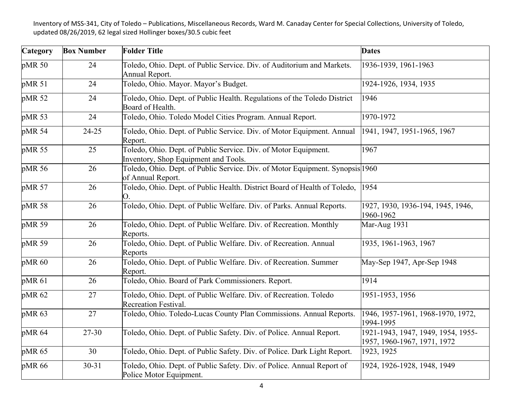| <b>Category</b> | <b>Box Number</b> | <b>Folder Title</b>                                                                                     | <b>Dates</b>                                                      |
|-----------------|-------------------|---------------------------------------------------------------------------------------------------------|-------------------------------------------------------------------|
| pMR 50          | 24                | Toledo, Ohio. Dept. of Public Service. Div. of Auditorium and Markets.<br>Annual Report.                | 1936-1939, 1961-1963                                              |
| pMR 51          | 24                | Toledo, Ohio. Mayor. Mayor's Budget.                                                                    | 1924-1926, 1934, 1935                                             |
| pMR 52          | 24                | Toledo, Ohio. Dept. of Public Health. Regulations of the Toledo District<br>Board of Health.            | 1946                                                              |
| pMR 53          | 24                | Toledo, Ohio. Toledo Model Cities Program. Annual Report.                                               | 1970-1972                                                         |
| pMR 54          | $24 - 25$         | Toledo, Ohio. Dept. of Public Service. Div. of Motor Equipment. Annual<br>Report.                       | 1941, 1947, 1951-1965, 1967                                       |
| pMR 55          | 25                | Toledo, Ohio. Dept. of Public Service. Div. of Motor Equipment.<br>Inventory, Shop Equipment and Tools. | 1967                                                              |
| pMR 56          | 26                | Toledo, Ohio. Dept. of Public Service. Div. of Motor Equipment. Synopsis 1960<br>of Annual Report.      |                                                                   |
| pMR 57          | 26                | Toledo, Ohio. Dept. of Public Health. District Board of Health of Toledo,<br>O.                         | 1954                                                              |
| pMR 58          | 26                | Toledo, Ohio. Dept. of Public Welfare. Div. of Parks. Annual Reports.                                   | 1927, 1930, 1936-194, 1945, 1946,<br>1960-1962                    |
| pMR 59          | 26                | Toledo, Ohio. Dept. of Public Welfare. Div. of Recreation. Monthly<br>Reports.                          | Mar-Aug 1931                                                      |
| pMR 59          | 26                | Toledo, Ohio. Dept. of Public Welfare. Div. of Recreation. Annual<br>Reports                            | 1935, 1961-1963, 1967                                             |
| pMR 60          | 26                | Toledo, Ohio. Dept. of Public Welfare. Div. of Recreation. Summer<br>Report.                            | May-Sep 1947, Apr-Sep 1948                                        |
| pMR 61          | 26                | Toledo, Ohio. Board of Park Commissioners. Report.                                                      | 1914                                                              |
| pMR 62          | 27                | Toledo, Ohio. Dept. of Public Welfare. Div. of Recreation. Toledo<br><b>Recreation Festival.</b>        | 1951-1953, 1956                                                   |
| pMR 63          | 27                | Toledo, Ohio. Toledo-Lucas County Plan Commissions. Annual Reports.                                     | 1946, 1957-1961, 1968-1970, 1972,<br>1994-1995                    |
| pMR 64          | 27-30             | Toledo, Ohio. Dept. of Public Safety. Div. of Police. Annual Report.                                    | 1921-1943, 1947, 1949, 1954, 1955-<br>1957, 1960-1967, 1971, 1972 |
| pMR 65          | 30                | Toledo, Ohio. Dept. of Public Safety. Div. of Police. Dark Light Report.                                | 1923, 1925                                                        |
| pMR 66          | $30 - 31$         | Toledo, Ohio. Dept. of Public Safety. Div. of Police. Annual Report of<br>Police Motor Equipment.       | 1924, 1926-1928, 1948, 1949                                       |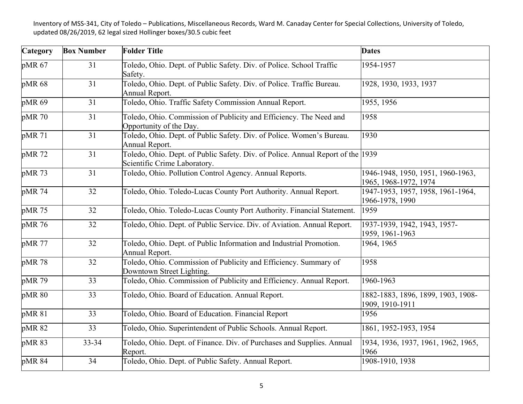| Category | <b>Box Number</b> | <b>Folder Title</b>                                                                                             | <b>Dates</b>                                               |
|----------|-------------------|-----------------------------------------------------------------------------------------------------------------|------------------------------------------------------------|
| pMR 67   | 31                | Toledo, Ohio. Dept. of Public Safety. Div. of Police. School Traffic<br>Safety.                                 | 1954-1957                                                  |
| pMR 68   | 31                | Toledo, Ohio. Dept. of Public Safety. Div. of Police. Traffic Bureau.<br>Annual Report.                         | 1928, 1930, 1933, 1937                                     |
| pMR 69   | 31                | Toledo, Ohio. Traffic Safety Commission Annual Report.                                                          | 1955, 1956                                                 |
| pMR 70   | 31                | Toledo, Ohio. Commission of Publicity and Efficiency. The Need and<br>Opportunity of the Day.                   | 1958                                                       |
| pMR 71   | 31                | Toledo, Ohio. Dept. of Public Safety. Div. of Police. Women's Bureau.<br>Annual Report.                         | 1930                                                       |
| pMR 72   | 31                | Toledo, Ohio. Dept. of Public Safety. Div. of Police. Annual Report of the 1939<br>Scientific Crime Laboratory. |                                                            |
| pMR 73   | 31                | Toledo, Ohio. Pollution Control Agency. Annual Reports.                                                         | 1946-1948, 1950, 1951, 1960-1963,<br>1965, 1968-1972, 1974 |
| pMR 74   | 32                | Toledo, Ohio. Toledo-Lucas County Port Authority. Annual Report.                                                | 1947-1953, 1957, 1958, 1961-1964,<br>1966-1978, 1990       |
| pMR 75   | 32                | Toledo, Ohio. Toledo-Lucas County Port Authority. Financial Statement.                                          | 1959                                                       |
| pMR 76   | 32                | Toledo, Ohio. Dept. of Public Service. Div. of Aviation. Annual Report.                                         | 1937-1939, 1942, 1943, 1957-<br>1959, 1961-1963            |
| pMR 77   | 32                | Toledo, Ohio. Dept. of Public Information and Industrial Promotion.<br>Annual Report.                           | 1964, 1965                                                 |
| pMR 78   | 32                | Toledo, Ohio. Commission of Publicity and Efficiency. Summary of<br>Downtown Street Lighting.                   | 1958                                                       |
| pMR 79   | 33                | Toledo, Ohio. Commission of Publicity and Efficiency. Annual Report.                                            | 1960-1963                                                  |
| pMR 80   | 33                | Toledo, Ohio. Board of Education. Annual Report.                                                                | 1882-1883, 1896, 1899, 1903, 1908-<br>1909, 1910-1911      |
| pMR 81   | 33                | Toledo, Ohio. Board of Education. Financial Report                                                              | 1956                                                       |
| pMR 82   | 33                | Toledo, Ohio. Superintendent of Public Schools. Annual Report.                                                  | 1861, 1952-1953, 1954                                      |
| pMR 83   | $33 - 34$         | Toledo, Ohio. Dept. of Finance. Div. of Purchases and Supplies. Annual<br>Report.                               | 1934, 1936, 1937, 1961, 1962, 1965,<br>1966                |
| pMR 84   | 34                | Toledo, Ohio. Dept. of Public Safety. Annual Report.                                                            | 1908-1910, 1938                                            |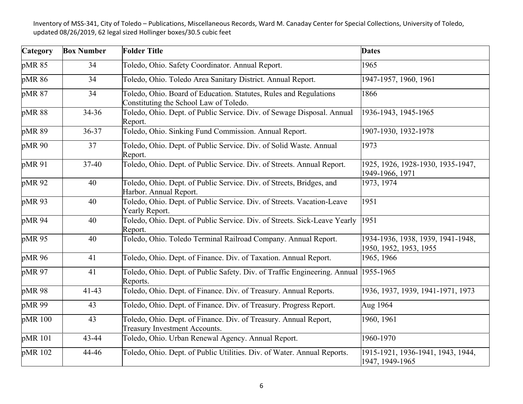| Category | <b>Box Number</b> | <b>Folder Title</b>                                                                                         | <b>Dates</b>                                                |
|----------|-------------------|-------------------------------------------------------------------------------------------------------------|-------------------------------------------------------------|
| pMR 85   | 34                | Toledo, Ohio. Safety Coordinator. Annual Report.                                                            | 1965                                                        |
| pMR 86   | 34                | Toledo, Ohio. Toledo Area Sanitary District. Annual Report.                                                 | 1947-1957, 1960, 1961                                       |
| pMR 87   | 34                | Toledo, Ohio. Board of Education. Statutes, Rules and Regulations<br>Constituting the School Law of Toledo. | 1866                                                        |
| pMR 88   | 34-36             | Toledo, Ohio. Dept. of Public Service. Div. of Sewage Disposal. Annual<br>Report.                           | 1936-1943, 1945-1965                                        |
| pMR 89   | 36-37             | Toledo, Ohio. Sinking Fund Commission. Annual Report.                                                       | 1907-1930, 1932-1978                                        |
| pMR 90   | 37                | Toledo, Ohio. Dept. of Public Service. Div. of Solid Waste. Annual<br>Report.                               | 1973                                                        |
| pMR 91   | 37-40             | Toledo, Ohio. Dept. of Public Service. Div. of Streets. Annual Report.                                      | 1925, 1926, 1928-1930, 1935-1947,<br>1949-1966, 1971        |
| pMR 92   | 40                | Toledo, Ohio. Dept. of Public Service. Div. of Streets, Bridges, and<br>Harbor. Annual Report.              | 1973, 1974                                                  |
| pMR 93   | 40                | Toledo, Ohio. Dept. of Public Service. Div. of Streets. Vacation-Leave<br>Yearly Report.                    | 1951                                                        |
| pMR 94   | 40                | Toledo, Ohio. Dept. of Public Service. Div. of Streets. Sick-Leave Yearly<br>Report.                        | 1951                                                        |
| pMR 95   | 40                | Toledo, Ohio. Toledo Terminal Railroad Company. Annual Report.                                              | 1934-1936, 1938, 1939, 1941-1948,<br>1950, 1952, 1953, 1955 |
| pMR 96   | 41                | Toledo, Ohio. Dept. of Finance. Div. of Taxation. Annual Report.                                            | 1965, 1966                                                  |
| pMR 97   | 41                | Toledo, Ohio. Dept. of Public Safety. Div. of Traffic Engineering. Annual<br>Reports.                       | 1955-1965                                                   |
| pMR 98   | $41 - 43$         | Toledo, Ohio. Dept. of Finance. Div. of Treasury. Annual Reports.                                           | 1936, 1937, 1939, 1941-1971, 1973                           |
| pMR 99   | 43                | Toledo, Ohio. Dept. of Finance. Div. of Treasury. Progress Report.                                          | Aug 1964                                                    |
| pMR 100  | 43                | Toledo, Ohio. Dept. of Finance. Div. of Treasury. Annual Report,<br><b>Treasury Investment Accounts.</b>    | 1960, 1961                                                  |
| pMR 101  | 43-44             | Toledo, Ohio. Urban Renewal Agency. Annual Report.                                                          | 1960-1970                                                   |
| pMR 102  | 44-46             | Toledo, Ohio. Dept. of Public Utilities. Div. of Water. Annual Reports.                                     | 1915-1921, 1936-1941, 1943, 1944,<br>1947, 1949-1965        |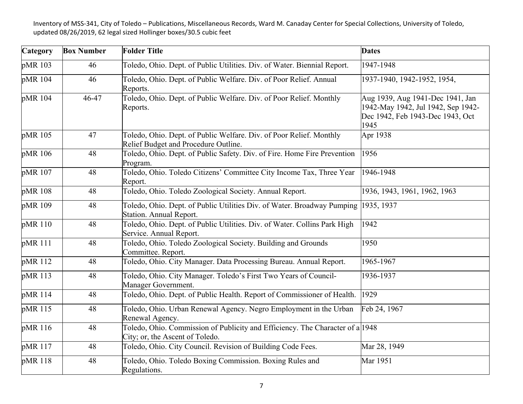| Category | <b>Box Number</b> | <b>Folder Title</b>                                                                                              | <b>Dates</b>                                                                                                       |
|----------|-------------------|------------------------------------------------------------------------------------------------------------------|--------------------------------------------------------------------------------------------------------------------|
| pMR 103  | 46                | Toledo, Ohio. Dept. of Public Utilities. Div. of Water. Biennial Report.                                         | 1947-1948                                                                                                          |
| pMR 104  | 46                | Toledo, Ohio. Dept. of Public Welfare. Div. of Poor Relief. Annual<br>Reports.                                   | 1937-1940, 1942-1952, 1954,                                                                                        |
| pMR 104  | 46-47             | Toledo, Ohio. Dept. of Public Welfare. Div. of Poor Relief. Monthly<br>Reports.                                  | Aug 1939, Aug 1941-Dec 1941, Jan<br>1942-May 1942, Jul 1942, Sep 1942-<br>Dec 1942, Feb 1943-Dec 1943, Oct<br>1945 |
| pMR 105  | 47                | Toledo, Ohio. Dept. of Public Welfare. Div. of Poor Relief. Monthly<br>Relief Budget and Procedure Outline.      | Apr 1938                                                                                                           |
| pMR 106  | 48                | Toledo, Ohio. Dept. of Public Safety. Div. of Fire. Home Fire Prevention<br>Program.                             | 1956                                                                                                               |
| pMR 107  | 48                | Toledo, Ohio. Toledo Citizens' Committee City Income Tax, Three Year<br>Report.                                  | 1946-1948                                                                                                          |
| pMR 108  | 48                | Toledo, Ohio. Toledo Zoological Society. Annual Report.                                                          | 1936, 1943, 1961, 1962, 1963                                                                                       |
| pMR 109  | 48                | Toledo, Ohio. Dept. of Public Utilities Div. of Water. Broadway Pumping<br>Station. Annual Report.               | 1935, 1937                                                                                                         |
| pMR 110  | 48                | Toledo, Ohio. Dept. of Public Utilities. Div. of Water. Collins Park High<br>Service. Annual Report.             | 1942                                                                                                               |
| pMR 111  | 48                | Toledo, Ohio. Toledo Zoological Society. Building and Grounds<br>Committee. Report.                              | 1950                                                                                                               |
| pMR 112  | 48                | Toledo, Ohio. City Manager. Data Processing Bureau. Annual Report.                                               | 1965-1967                                                                                                          |
| pMR 113  | 48                | Toledo, Ohio. City Manager. Toledo's First Two Years of Council-<br>Manager Government.                          | 1936-1937                                                                                                          |
| pMR 114  | 48                | Toledo, Ohio. Dept. of Public Health. Report of Commissioner of Health.                                          | 1929                                                                                                               |
| pMR 115  | 48                | Toledo, Ohio. Urban Renewal Agency. Negro Employment in the Urban<br>Renewal Agency.                             | Feb 24, 1967                                                                                                       |
| pMR 116  | 48                | Toledo, Ohio. Commission of Publicity and Efficiency. The Character of a 1948<br>City; or, the Ascent of Toledo. |                                                                                                                    |
| pMR 117  | 48                | Toledo, Ohio. City Council. Revision of Building Code Fees.                                                      | Mar 28, 1949                                                                                                       |
| pMR 118  | 48                | Toledo, Ohio. Toledo Boxing Commission. Boxing Rules and<br>Regulations.                                         | Mar 1951                                                                                                           |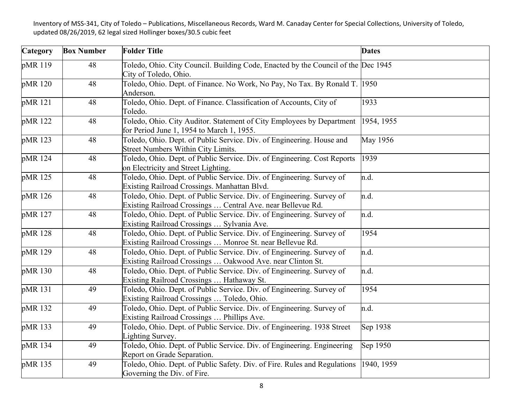| Category | <b>Box Number</b> | <b>Folder Title</b>                                                                                                                  | <b>Dates</b>    |
|----------|-------------------|--------------------------------------------------------------------------------------------------------------------------------------|-----------------|
| pMR 119  | 48                | Toledo, Ohio. City Council. Building Code, Enacted by the Council of the Dec 1945<br>City of Toledo, Ohio.                           |                 |
| pMR 120  | 48                | Toledo, Ohio. Dept. of Finance. No Work, No Pay, No Tax. By Ronald T. 1950<br>Anderson.                                              |                 |
| pMR 121  | 48                | Toledo, Ohio. Dept. of Finance. Classification of Accounts, City of<br>Toledo.                                                       | 1933            |
| pMR 122  | 48                | Toledo, Ohio. City Auditor. Statement of City Employees by Department<br>for Period June 1, 1954 to March 1, 1955.                   | 1954, 1955      |
| pMR 123  | 48                | Toledo, Ohio. Dept. of Public Service. Div. of Engineering. House and<br>Street Numbers Within City Limits.                          | <b>May 1956</b> |
| pMR 124  | 48                | Toledo, Ohio. Dept. of Public Service. Div. of Engineering. Cost Reports<br>on Electricity and Street Lighting.                      | 1939            |
| pMR 125  | 48                | Toledo, Ohio. Dept. of Public Service. Div. of Engineering. Survey of<br>Existing Railroad Crossings. Manhattan Blvd.                | n.d.            |
| pMR 126  | 48                | Toledo, Ohio. Dept. of Public Service. Div. of Engineering. Survey of<br>Existing Railroad Crossings  Central Ave. near Bellevue Rd. | n.d.            |
| pMR 127  | 48                | Toledo, Ohio. Dept. of Public Service. Div. of Engineering. Survey of<br>Existing Railroad Crossings  Sylvania Ave.                  | n.d.            |
| pMR 128  | 48                | Toledo, Ohio. Dept. of Public Service. Div. of Engineering. Survey of<br>Existing Railroad Crossings  Monroe St. near Bellevue Rd.   | 1954            |
| pMR 129  | 48                | Toledo, Ohio. Dept. of Public Service. Div. of Engineering. Survey of<br>Existing Railroad Crossings  Oakwood Ave. near Clinton St.  | n.d.            |
| pMR 130  | 48                | Toledo, Ohio. Dept. of Public Service. Div. of Engineering. Survey of<br>Existing Railroad Crossings  Hathaway St.                   | n.d.            |
| pMR 131  | 49                | Toledo, Ohio. Dept. of Public Service. Div. of Engineering. Survey of<br>Existing Railroad Crossings  Toledo, Ohio.                  | 1954            |
| pMR 132  | 49                | Toledo, Ohio. Dept. of Public Service. Div. of Engineering. Survey of<br>Existing Railroad Crossings  Phillips Ave.                  | n.d.            |
| pMR 133  | 49                | Toledo, Ohio. Dept. of Public Service. Div. of Engineering. 1938 Street<br>Lighting Survey.                                          | Sep 1938        |
| pMR 134  | 49                | Toledo, Ohio. Dept. of Public Service. Div. of Engineering. Engineering<br>Report on Grade Separation.                               | Sep 1950        |
| pMR 135  | 49                | Toledo, Ohio. Dept. of Public Safety. Div. of Fire. Rules and Regulations<br>Governing the Div. of Fire.                             | 1940, 1959      |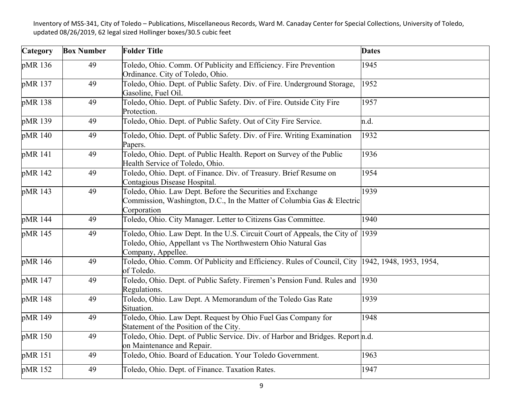| Category | <b>Box Number</b> | <b>Folder Title</b>                                                                                                                                                  | <b>Dates</b>            |
|----------|-------------------|----------------------------------------------------------------------------------------------------------------------------------------------------------------------|-------------------------|
| pMR 136  | 49                | Toledo, Ohio. Comm. Of Publicity and Efficiency. Fire Prevention<br>Ordinance. City of Toledo, Ohio.                                                                 | 1945                    |
| pMR 137  | 49                | Toledo, Ohio. Dept. of Public Safety. Div. of Fire. Underground Storage,<br>Gasoline, Fuel Oil.                                                                      | 1952                    |
| pMR 138  | 49                | Toledo, Ohio. Dept. of Public Safety. Div. of Fire. Outside City Fire<br>Protection.                                                                                 | 1957                    |
| pMR 139  | 49                | Toledo, Ohio. Dept. of Public Safety. Out of City Fire Service.                                                                                                      | n.d.                    |
| pMR 140  | 49                | Toledo, Ohio. Dept. of Public Safety. Div. of Fire. Writing Examination<br>Papers.                                                                                   | 1932                    |
| pMR 141  | 49                | Toledo, Ohio. Dept. of Public Health. Report on Survey of the Public<br>Health Service of Toledo, Ohio.                                                              | 1936                    |
| pMR 142  | 49                | Toledo, Ohio. Dept. of Finance. Div. of Treasury. Brief Resume on<br>Contagious Disease Hospital.                                                                    | 1954                    |
| pMR 143  | 49                | Toledo, Ohio. Law Dept. Before the Securities and Exchange<br>Commission, Washington, D.C., In the Matter of Columbia Gas & Electric<br>Corporation                  | 1939                    |
| pMR 144  | 49                | Toledo, Ohio. City Manager. Letter to Citizens Gas Committee.                                                                                                        | 1940                    |
| pMR 145  | 49                | Toledo, Ohio. Law Dept. In the U.S. Circuit Court of Appeals, the City of 1939<br>Toledo, Ohio, Appellant vs The Northwestern Ohio Natural Gas<br>Company, Appellee. |                         |
| pMR 146  | 49                | Toledo, Ohio. Comm. Of Publicity and Efficiency. Rules of Council, City<br>of Toledo.                                                                                | 1942, 1948, 1953, 1954, |
| pMR 147  | 49                | Toledo, Ohio. Dept. of Public Safety. Firemen's Pension Fund. Rules and<br>Regulations.                                                                              | 1930                    |
| pMR 148  | 49                | Toledo, Ohio. Law Dept. A Memorandum of the Toledo Gas Rate<br>Situation.                                                                                            | 1939                    |
| pMR 149  | 49                | Toledo, Ohio. Law Dept. Request by Ohio Fuel Gas Company for<br>Statement of the Position of the City.                                                               | 1948                    |
| pMR 150  | 49                | Toledo, Ohio. Dept. of Public Service. Div. of Harbor and Bridges. Report n.d.<br>on Maintenance and Repair.                                                         |                         |
| pMR 151  | 49                | Toledo, Ohio. Board of Education. Your Toledo Government.                                                                                                            | 1963                    |
| pMR 152  | 49                | Toledo, Ohio. Dept. of Finance. Taxation Rates.                                                                                                                      | 1947                    |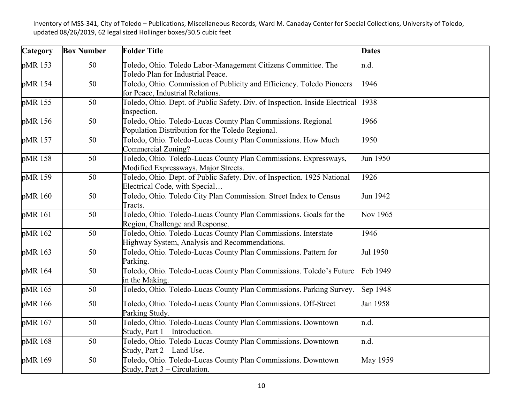| Category | <b>Box Number</b> | <b>Folder Title</b>                                                                                              | <b>Dates</b> |
|----------|-------------------|------------------------------------------------------------------------------------------------------------------|--------------|
| pMR 153  | 50                | Toledo, Ohio. Toledo Labor-Management Citizens Committee. The<br>Toledo Plan for Industrial Peace.               | n.d.         |
| pMR 154  | 50                | Toledo, Ohio. Commission of Publicity and Efficiency. Toledo Pioneers<br>for Peace, Industrial Relations.        | 1946         |
| pMR 155  | 50                | Toledo, Ohio. Dept. of Public Safety. Div. of Inspection. Inside Electrical<br>Inspection.                       | 1938         |
| pMR 156  | 50                | Toledo, Ohio. Toledo-Lucas County Plan Commissions. Regional<br>Population Distribution for the Toledo Regional. | 1966         |
| pMR 157  | 50                | Toledo, Ohio. Toledo-Lucas County Plan Commissions. How Much<br>Commercial Zoning?                               | 1950         |
| pMR 158  | 50                | Toledo, Ohio. Toledo-Lucas County Plan Commissions. Expressways,<br>Modified Expressways, Major Streets.         | Jun 1950     |
| pMR 159  | 50                | Toledo, Ohio. Dept. of Public Safety. Div. of Inspection. 1925 National<br>Electrical Code, with Special         | 1926         |
| pMR 160  | 50                | Toledo, Ohio. Toledo City Plan Commission. Street Index to Census<br>Tracts.                                     | Jun 1942     |
| pMR 161  | 50                | Toledo, Ohio. Toledo-Lucas County Plan Commissions. Goals for the<br>Region, Challenge and Response.             | Nov 1965     |
| pMR 162  | 50                | Toledo, Ohio. Toledo-Lucas County Plan Commissions. Interstate<br>Highway System, Analysis and Recommendations.  | 1946         |
| pMR 163  | 50                | Toledo, Ohio. Toledo-Lucas County Plan Commissions. Pattern for<br>Parking.                                      | Jul 1950     |
| pMR 164  | 50                | Toledo, Ohio. Toledo-Lucas County Plan Commissions. Toledo's Future<br>in the Making.                            | Feb 1949     |
| pMR 165  | 50                | Toledo, Ohio. Toledo-Lucas County Plan Commissions. Parking Survey.                                              | Sep 1948     |
| pMR 166  | 50                | Toledo, Ohio. Toledo-Lucas County Plan Commissions. Off-Street<br>Parking Study.                                 | Jan 1958     |
| pMR 167  | 50                | Toledo, Ohio. Toledo-Lucas County Plan Commissions. Downtown<br>Study, Part 1 - Introduction.                    | n.d.         |
| pMR 168  | 50                | Toledo, Ohio. Toledo-Lucas County Plan Commissions. Downtown<br>Study, Part 2 - Land Use.                        | n.d.         |
| pMR 169  | 50                | Toledo, Ohio. Toledo-Lucas County Plan Commissions. Downtown<br>Study, Part 3 – Circulation.                     | May 1959     |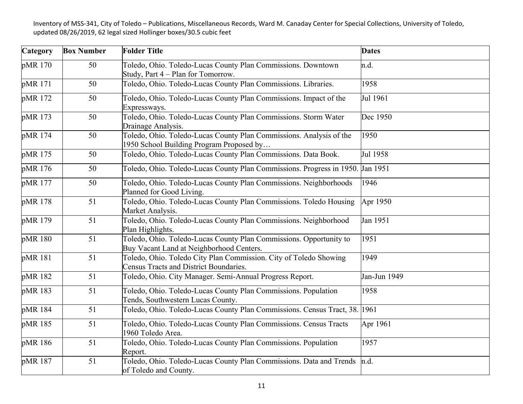| Category | <b>Box Number</b> | <b>Folder Title</b>                                                                                             | <b>Dates</b> |
|----------|-------------------|-----------------------------------------------------------------------------------------------------------------|--------------|
| pMR 170  | 50                | Toledo, Ohio. Toledo-Lucas County Plan Commissions. Downtown<br>Study, Part 4 – Plan for Tomorrow.              | n.d.         |
| pMR 171  | 50                | Toledo, Ohio. Toledo-Lucas County Plan Commissions. Libraries.                                                  | 1958         |
| pMR 172  | 50                | Toledo, Ohio. Toledo-Lucas County Plan Commissions. Impact of the<br>Expressways.                               | Jul 1961     |
| pMR 173  | 50                | Toledo, Ohio. Toledo-Lucas County Plan Commissions. Storm Water<br>Drainage Analysis.                           | Dec 1950     |
| pMR 174  | 50                | Toledo, Ohio. Toledo-Lucas County Plan Commissions. Analysis of the<br>1950 School Building Program Proposed by | 1950         |
| pMR 175  | 50                | Toledo, Ohio. Toledo-Lucas County Plan Commissions. Data Book.                                                  | Jul 1958     |
| pMR 176  | 50                | Toledo, Ohio. Toledo-Lucas County Plan Commissions. Progress in 1950. Jan 1951                                  |              |
| pMR 177  | 50                | Toledo, Ohio. Toledo-Lucas County Plan Commissions. Neighborhoods<br>Planned for Good Living.                   | 1946         |
| pMR 178  | 51                | Toledo, Ohio. Toledo-Lucas County Plan Commissions. Toledo Housing<br>Market Analysis.                          | Apr 1950     |
| pMR 179  | 51                | Toledo, Ohio. Toledo-Lucas County Plan Commissions. Neighborhood<br>Plan Highlights.                            | Jan 1951     |
| pMR 180  | 51                | Toledo, Ohio. Toledo-Lucas County Plan Commissions. Opportunity to<br>Buy Vacant Land at Neighborhood Centers.  | 1951         |
| pMR 181  | 51                | Toledo, Ohio. Toledo City Plan Commission. City of Toledo Showing<br>Census Tracts and District Boundaries.     | 1949         |
| pMR 182  | 51                | Toledo, Ohio. City Manager. Semi-Annual Progress Report.                                                        | Jan-Jun 1949 |
| pMR 183  | 51                | Toledo, Ohio. Toledo-Lucas County Plan Commissions. Population<br>Tends, Southwestern Lucas County.             | 1958         |
| pMR 184  | 51                | Toledo, Ohio. Toledo-Lucas County Plan Commissions. Census Tract, 38. 1961                                      |              |
| pMR 185  | 51                | Toledo, Ohio. Toledo-Lucas County Plan Commissions. Census Tracts<br>1960 Toledo Area.                          | Apr 1961     |
| pMR 186  | 51                | Toledo, Ohio. Toledo-Lucas County Plan Commissions. Population<br>Report.                                       | 1957         |
| pMR 187  | 51                | Toledo, Ohio. Toledo-Lucas County Plan Commissions. Data and Trends<br>of Toledo and County.                    | n.d.         |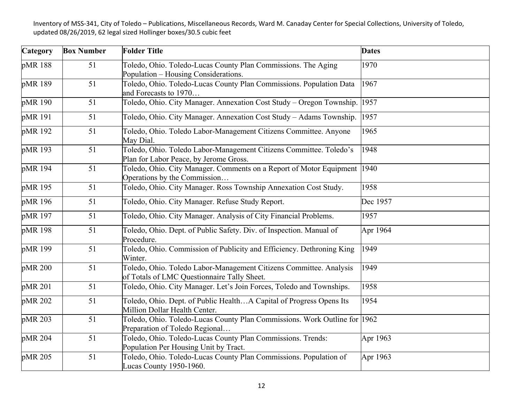| Category | <b>Box Number</b> | <b>Folder Title</b>                                                                                               | <b>Dates</b> |
|----------|-------------------|-------------------------------------------------------------------------------------------------------------------|--------------|
| pMR 188  | 51                | Toledo, Ohio. Toledo-Lucas County Plan Commissions. The Aging<br>Population - Housing Considerations.             | 1970         |
| pMR 189  | 51                | Toledo, Ohio. Toledo-Lucas County Plan Commissions. Population Data<br>and Forecasts to 1970                      | 1967         |
| pMR 190  | 51                | Toledo, Ohio. City Manager. Annexation Cost Study - Oregon Township.                                              | 1957         |
| pMR 191  | 51                | Toledo, Ohio. City Manager. Annexation Cost Study - Adams Township.                                               | 1957         |
| pMR 192  | 51                | Toledo, Ohio. Toledo Labor-Management Citizens Committee. Anyone<br>May Dial.                                     | 1965         |
| pMR 193  | 51                | Toledo, Ohio. Toledo Labor-Management Citizens Committee. Toledo's<br>Plan for Labor Peace, by Jerome Gross.      | 1948         |
| pMR 194  | 51                | Toledo, Ohio. City Manager. Comments on a Report of Motor Equipment<br>Operations by the Commission               | 1940         |
| pMR 195  | 51                | Toledo, Ohio. City Manager. Ross Township Annexation Cost Study.                                                  | 1958         |
| pMR 196  | 51                | Toledo, Ohio. City Manager. Refuse Study Report.                                                                  | Dec 1957     |
| pMR 197  | 51                | Toledo, Ohio. City Manager. Analysis of City Financial Problems.                                                  | 1957         |
| pMR 198  | 51                | Toledo, Ohio. Dept. of Public Safety. Div. of Inspection. Manual of<br>Procedure.                                 | Apr 1964     |
| pMR 199  | 51                | Toledo, Ohio. Commission of Publicity and Efficiency. Dethroning King<br>Winter.                                  | 1949         |
| pMR 200  | 51                | Toledo, Ohio. Toledo Labor-Management Citizens Committee. Analysis<br>of Totals of LMC Questionnaire Tally Sheet. | 1949         |
| pMR 201  | 51                | Toledo, Ohio. City Manager. Let's Join Forces, Toledo and Townships.                                              | 1958         |
| pMR 202  | 51                | Toledo, Ohio. Dept. of Public HealthA Capital of Progress Opens Its<br>Million Dollar Health Center.              | 1954         |
| pMR 203  | 51                | Toledo, Ohio. Toledo-Lucas County Plan Commissions. Work Outline for 1962<br>Preparation of Toledo Regional       |              |
| pMR 204  | 51                | Toledo, Ohio. Toledo-Lucas County Plan Commissions. Trends:<br>Population Per Housing Unit by Tract.              | Apr 1963     |
| pMR 205  | 51                | Toledo, Ohio. Toledo-Lucas County Plan Commissions. Population of<br>Lucas County 1950-1960.                      | Apr 1963     |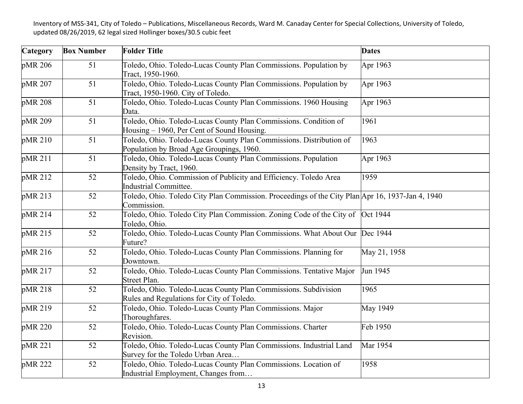| Category | <b>Box Number</b> | <b>Folder Title</b>                                                                                             | <b>Dates</b>    |
|----------|-------------------|-----------------------------------------------------------------------------------------------------------------|-----------------|
| pMR 206  | 51                | Toledo, Ohio. Toledo-Lucas County Plan Commissions. Population by<br>Tract, 1950-1960.                          | Apr 1963        |
| pMR 207  | 51                | Toledo, Ohio. Toledo-Lucas County Plan Commissions. Population by<br>Tract, 1950-1960. City of Toledo.          | Apr 1963        |
| pMR 208  | 51                | Toledo, Ohio. Toledo-Lucas County Plan Commissions. 1960 Housing<br>Data.                                       | Apr 1963        |
| pMR 209  | 51                | Toledo, Ohio. Toledo-Lucas County Plan Commissions. Condition of<br>Housing – 1960, Per Cent of Sound Housing.  | 1961            |
| pMR 210  | 51                | Toledo, Ohio. Toledo-Lucas County Plan Commissions. Distribution of<br>Population by Broad Age Groupings, 1960. | 1963            |
| pMR 211  | 51                | Toledo, Ohio. Toledo-Lucas County Plan Commissions. Population<br>Density by Tract, 1960.                       | Apr 1963        |
| pMR 212  | 52                | Toledo, Ohio. Commission of Publicity and Efficiency. Toledo Area<br>Industrial Committee.                      | 1959            |
| pMR 213  | 52                | Toledo, Ohio. Toledo City Plan Commission. Proceedings of the City Plan Apr 16, 1937-Jan 4, 1940<br>Commission. |                 |
| pMR 214  | 52                | Toledo, Ohio. Toledo City Plan Commission. Zoning Code of the City of Oct 1944<br>Toledo, Ohio.                 |                 |
| pMR 215  | 52                | Toledo, Ohio. Toledo-Lucas County Plan Commissions. What About Our Dec 1944<br>Future?                          |                 |
| pMR 216  | 52                | Toledo, Ohio. Toledo-Lucas County Plan Commissions. Planning for<br>Downtown.                                   | May 21, 1958    |
| pMR 217  | 52                | Toledo, Ohio. Toledo-Lucas County Plan Commissions. Tentative Major<br>Street Plan.                             | Jun 1945        |
| pMR 218  | 52                | Toledo, Ohio. Toledo-Lucas County Plan Commissions. Subdivision<br>Rules and Regulations for City of Toledo.    | 1965            |
| pMR 219  | 52                | Toledo, Ohio. Toledo-Lucas County Plan Commissions. Major<br>Thoroughfares.                                     | <b>May 1949</b> |
| pMR 220  | 52                | Toledo, Ohio. Toledo-Lucas County Plan Commissions. Charter<br>Revision.                                        | Feb 1950        |
| pMR 221  | 52                | Toledo, Ohio. Toledo-Lucas County Plan Commissions. Industrial Land<br>Survey for the Toledo Urban Area         | Mar 1954        |
| pMR 222  | 52                | Toledo, Ohio. Toledo-Lucas County Plan Commissions. Location of<br>Industrial Employment, Changes from          | 1958            |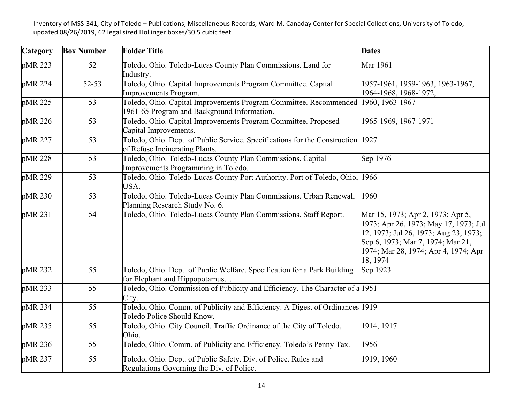| Category | <b>Box Number</b> | <b>Folder Title</b>                                                                                               | <b>Dates</b>                                                                                                                                                                                                 |
|----------|-------------------|-------------------------------------------------------------------------------------------------------------------|--------------------------------------------------------------------------------------------------------------------------------------------------------------------------------------------------------------|
| pMR 223  | 52                | Toledo, Ohio. Toledo-Lucas County Plan Commissions. Land for<br>Industry.                                         | Mar 1961                                                                                                                                                                                                     |
| pMR 224  | 52-53             | Toledo, Ohio. Capital Improvements Program Committee. Capital<br>Improvements Program.                            | 1957-1961, 1959-1963, 1963-1967,<br>1964-1968, 1968-1972,                                                                                                                                                    |
| pMR 225  | 53                | Toledo, Ohio. Capital Improvements Program Committee. Recommended<br>1961-65 Program and Background Information.  | 1960, 1963-1967                                                                                                                                                                                              |
| pMR 226  | 53                | Toledo, Ohio. Capital Improvements Program Committee. Proposed<br>Capital Improvements.                           | 1965-1969, 1967-1971                                                                                                                                                                                         |
| pMR 227  | 53                | Toledo, Ohio. Dept. of Public Service. Specifications for the Construction 1927<br>of Refuse Incinerating Plants. |                                                                                                                                                                                                              |
| pMR 228  | 53                | Toledo, Ohio. Toledo-Lucas County Plan Commissions. Capital<br>Improvements Programming in Toledo.                | Sep 1976                                                                                                                                                                                                     |
| pMR 229  | 53                | Toledo, Ohio. Toledo-Lucas County Port Authority. Port of Toledo, Ohio, 1966<br>USA.                              |                                                                                                                                                                                                              |
| pMR 230  | 53                | Toledo, Ohio. Toledo-Lucas County Plan Commissions. Urban Renewal,<br>Planning Research Study No. 6.              | 1960                                                                                                                                                                                                         |
| pMR 231  | 54                | Toledo, Ohio. Toledo-Lucas County Plan Commissions. Staff Report.                                                 | Mar 15, 1973; Apr 2, 1973; Apr 5,<br>1973; Apr 26, 1973; May 17, 1973; Jul<br>12, 1973; Jul 26, 1973; Aug 23, 1973;<br>Sep 6, 1973; Mar 7, 1974; Mar 21,<br>1974; Mar 28, 1974; Apr 4, 1974; Apr<br>18, 1974 |
| pMR 232  | 55                | Toledo, Ohio. Dept. of Public Welfare. Specification for a Park Building<br>for Elephant and Hippopotamus         | Sep 1923                                                                                                                                                                                                     |
| pMR 233  | 55                | Toledo, Ohio. Commission of Publicity and Efficiency. The Character of a 1951<br>City.                            |                                                                                                                                                                                                              |
| pMR 234  | 55                | Toledo, Ohio. Comm. of Publicity and Efficiency. A Digest of Ordinances 1919<br>Toledo Police Should Know.        |                                                                                                                                                                                                              |
| pMR 235  | 55                | Toledo, Ohio. City Council. Traffic Ordinance of the City of Toledo,<br>Ohio.                                     | 1914, 1917                                                                                                                                                                                                   |
| pMR 236  | 55                | Toledo, Ohio. Comm. of Publicity and Efficiency. Toledo's Penny Tax.                                              | 1956                                                                                                                                                                                                         |
| pMR 237  | 55                | Toledo, Ohio. Dept. of Public Safety. Div. of Police. Rules and<br>Regulations Governing the Div. of Police.      | 1919, 1960                                                                                                                                                                                                   |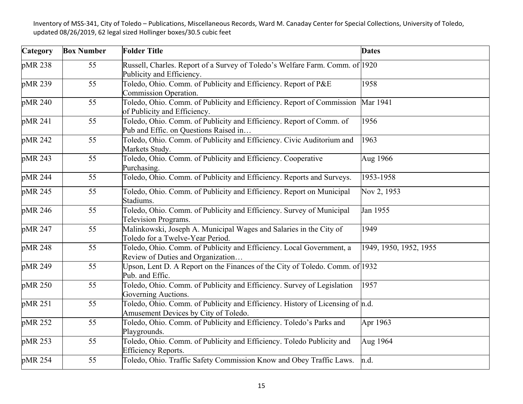| Category | <b>Box Number</b> | <b>Folder Title</b>                                                                                                        | <b>Dates</b>           |
|----------|-------------------|----------------------------------------------------------------------------------------------------------------------------|------------------------|
| pMR 238  | 55                | Russell, Charles. Report of a Survey of Toledo's Welfare Farm. Comm. of 1920<br>Publicity and Efficiency.                  |                        |
| pMR 239  | 55                | Toledo, Ohio. Comm. of Publicity and Efficiency. Report of P&E<br>Commission Operation.                                    | 1958                   |
| pMR 240  | 55                | Toledo, Ohio. Comm. of Publicity and Efficiency. Report of Commission<br>of Publicity and Efficiency.                      | Mar 1941               |
| pMR 241  | 55                | Toledo, Ohio. Comm. of Publicity and Efficiency. Report of Comm. of<br>Pub and Effic. on Questions Raised in               | 1956                   |
| pMR 242  | 55                | Toledo, Ohio. Comm. of Publicity and Efficiency. Civic Auditorium and<br>Markets Study.                                    | 1963                   |
| pMR 243  | 55                | Toledo, Ohio. Comm. of Publicity and Efficiency. Cooperative<br>Purchasing.                                                | Aug 1966               |
| pMR 244  | 55                | Toledo, Ohio. Comm. of Publicity and Efficiency. Reports and Surveys.                                                      | 1953-1958              |
| pMR 245  | 55                | Toledo, Ohio. Comm. of Publicity and Efficiency. Report on Municipal<br>Stadiums.                                          | Nov 2, 1953            |
| pMR 246  | 55                | Toledo, Ohio. Comm. of Publicity and Efficiency. Survey of Municipal<br>Television Programs.                               | Jan 1955               |
| pMR 247  | 55                | Malinkowski, Joseph A. Municipal Wages and Salaries in the City of<br>Toledo for a Twelve-Year Period.                     | 1949                   |
| pMR 248  | 55                | Toledo, Ohio. Comm. of Publicity and Efficiency. Local Government, a<br>Review of Duties and Organization                  | 1949, 1950, 1952, 1955 |
| pMR 249  | 55                | Upson, Lent D. A Report on the Finances of the City of Toledo. Comm. of 1932<br>Pub. and Effic.                            |                        |
| pMR 250  | 55                | Toledo, Ohio. Comm. of Publicity and Efficiency. Survey of Legislation<br>Governing Auctions.                              | 1957                   |
| pMR 251  | 55                | Toledo, Ohio. Comm. of Publicity and Efficiency. History of Licensing of $\ln d$ .<br>Amusement Devices by City of Toledo. |                        |
| pMR 252  | 55                | Toledo, Ohio. Comm. of Publicity and Efficiency. Toledo's Parks and<br>Playgrounds.                                        | Apr 1963               |
| pMR 253  | 55                | Toledo, Ohio. Comm. of Publicity and Efficiency. Toledo Publicity and<br><b>Efficiency Reports.</b>                        | Aug 1964               |
| pMR 254  | 55                | Toledo, Ohio. Traffic Safety Commission Know and Obey Traffic Laws.                                                        | n.d.                   |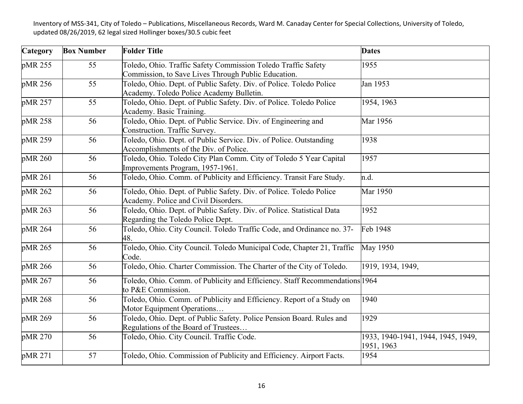| <b>Category</b> | <b>Box Number</b> | <b>Folder Title</b>                                                                                                  | <b>Dates</b>                                     |
|-----------------|-------------------|----------------------------------------------------------------------------------------------------------------------|--------------------------------------------------|
| pMR 255         | 55                | Toledo, Ohio. Traffic Safety Commission Toledo Traffic Safety<br>Commission, to Save Lives Through Public Education. | 1955                                             |
| pMR 256         | 55                | Toledo, Ohio. Dept. of Public Safety. Div. of Police. Toledo Police<br>Academy. Toledo Police Academy Bulletin.      | Jan 1953                                         |
| pMR 257         | 55                | Toledo, Ohio. Dept. of Public Safety. Div. of Police. Toledo Police<br>Academy. Basic Training.                      | 1954, 1963                                       |
| pMR 258         | 56                | Toledo, Ohio. Dept. of Public Service. Div. of Engineering and<br>Construction. Traffic Survey.                      | Mar 1956                                         |
| pMR 259         | 56                | Toledo, Ohio. Dept. of Public Service. Div. of Police. Outstanding<br>Accomplishments of the Div. of Police.         | 1938                                             |
| pMR 260         | 56                | Toledo, Ohio. Toledo City Plan Comm. City of Toledo 5 Year Capital<br>Improvements Program, 1957-1961.               | 1957                                             |
| pMR 261         | 56                | Toledo, Ohio. Comm. of Publicity and Efficiency. Transit Fare Study.                                                 | n.d.                                             |
| pMR 262         | 56                | Toledo, Ohio. Dept. of Public Safety. Div. of Police. Toledo Police<br>Academy. Police and Civil Disorders.          | Mar 1950                                         |
| pMR 263         | 56                | Toledo, Ohio. Dept. of Public Safety. Div. of Police. Statistical Data<br>Regarding the Toledo Police Dept.          | 1952                                             |
| pMR 264         | 56                | Toledo, Ohio. City Council. Toledo Traffic Code, and Ordinance no. 37-<br>48.                                        | Feb 1948                                         |
| pMR 265         | 56                | Toledo, Ohio. City Council. Toledo Municipal Code, Chapter 21, Traffic<br>Code.                                      | <b>May 1950</b>                                  |
| pMR 266         | 56                | Toledo, Ohio. Charter Commission. The Charter of the City of Toledo.                                                 | 1919, 1934, 1949,                                |
| pMR 267         | 56                | Toledo, Ohio. Comm. of Publicity and Efficiency. Staff Recommendations 1964<br>to P&E Commission.                    |                                                  |
| pMR 268         | 56                | Toledo, Ohio. Comm. of Publicity and Efficiency. Report of a Study on<br>Motor Equipment Operations                  | 1940                                             |
| pMR 269         | 56                | Toledo, Ohio. Dept. of Public Safety. Police Pension Board. Rules and<br>Regulations of the Board of Trustees        | 1929                                             |
| pMR 270         | 56                | Toledo, Ohio. City Council. Traffic Code.                                                                            | 1933, 1940-1941, 1944, 1945, 1949,<br>1951, 1963 |
| pMR 271         | 57                | Toledo, Ohio. Commission of Publicity and Efficiency. Airport Facts.                                                 | 1954                                             |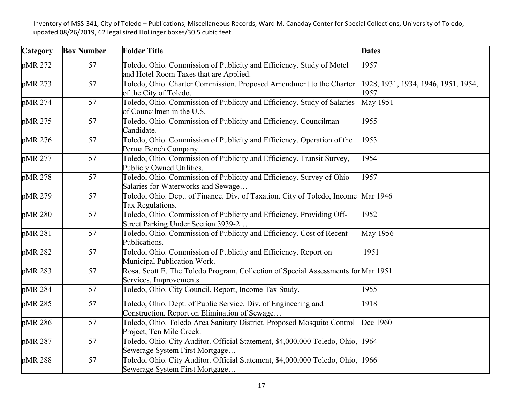| Category | <b>Box Number</b> | <b>Folder Title</b>                                                                                              | <b>Dates</b>                                |
|----------|-------------------|------------------------------------------------------------------------------------------------------------------|---------------------------------------------|
| pMR 272  | 57                | Toledo, Ohio. Commission of Publicity and Efficiency. Study of Motel<br>and Hotel Room Taxes that are Applied.   | 1957                                        |
| pMR 273  | 57                | Toledo, Ohio. Charter Commission. Proposed Amendment to the Charter<br>of the City of Toledo.                    | 1928, 1931, 1934, 1946, 1951, 1954,<br>1957 |
| pMR 274  | 57                | Toledo, Ohio. Commission of Publicity and Efficiency. Study of Salaries<br>of Councilmen in the U.S.             | May 1951                                    |
| pMR 275  | 57                | Toledo, Ohio. Commission of Publicity and Efficiency. Councilman<br>Candidate.                                   | 1955                                        |
| pMR 276  | 57                | Toledo, Ohio. Commission of Publicity and Efficiency. Operation of the<br>Perma Bench Company.                   | 1953                                        |
| pMR 277  | 57                | Toledo, Ohio. Commission of Publicity and Efficiency. Transit Survey,<br>Publicly Owned Utilities.               | 1954                                        |
| pMR 278  | 57                | Toledo, Ohio. Commission of Publicity and Efficiency. Survey of Ohio<br>Salaries for Waterworks and Sewage       | 1957                                        |
| pMR 279  | 57                | Toledo, Ohio. Dept. of Finance. Div. of Taxation. City of Toledo, Income<br>Tax Regulations.                     | Mar 1946                                    |
| pMR 280  | 57                | Toledo, Ohio. Commission of Publicity and Efficiency. Providing Off-<br>Street Parking Under Section 3939-2      | 1952                                        |
| pMR 281  | 57                | Toledo, Ohio. Commission of Publicity and Efficiency. Cost of Recent<br>Publications.                            | May 1956                                    |
| pMR 282  | 57                | Toledo, Ohio. Commission of Publicity and Efficiency. Report on<br>Municipal Publication Work.                   | 1951                                        |
| pMR 283  | 57                | Rosa, Scott E. The Toledo Program, Collection of Special Assessments for Mar 1951<br>Services, Improvements.     |                                             |
| pMR 284  | 57                | Toledo, Ohio. City Council. Report, Income Tax Study.                                                            | 1955                                        |
| pMR 285  | 57                | Toledo, Ohio. Dept. of Public Service. Div. of Engineering and<br>Construction. Report on Elimination of Sewage  | 1918                                        |
| pMR 286  | 57                | Toledo, Ohio. Toledo Area Sanitary District. Proposed Mosquito Control<br>Project, Ten Mile Creek.               | Dec 1960                                    |
| pMR 287  | 57                | Toledo, Ohio. City Auditor. Official Statement, \$4,000,000 Toledo, Ohio,<br>Sewerage System First Mortgage      | 1964                                        |
| pMR 288  | 57                | Toledo, Ohio. City Auditor. Official Statement, \$4,000,000 Toledo, Ohio, 1966<br>Sewerage System First Mortgage |                                             |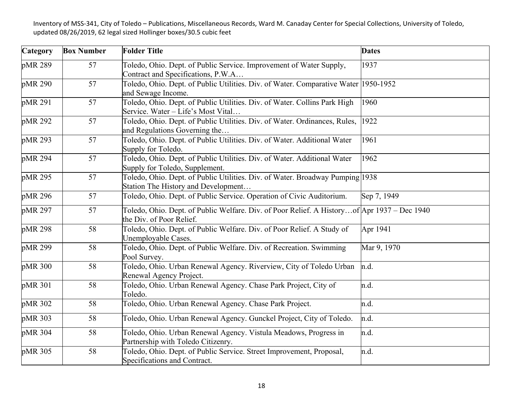| Category | <b>Box Number</b> | <b>Folder Title</b>                                                                                                     | <b>Dates</b> |
|----------|-------------------|-------------------------------------------------------------------------------------------------------------------------|--------------|
| pMR 289  | 57                | Toledo, Ohio. Dept. of Public Service. Improvement of Water Supply,<br>Contract and Specifications, P.W.A               | 1937         |
| pMR 290  | 57                | Toledo, Ohio. Dept. of Public Utilities. Div. of Water. Comparative Water 1950-1952<br>and Sewage Income.               |              |
| pMR 291  | 57                | Toledo, Ohio. Dept. of Public Utilities. Div. of Water. Collins Park High<br>Service. Water - Life's Most Vital         | 1960         |
| pMR 292  | 57                | Toledo, Ohio. Dept. of Public Utilities. Div. of Water. Ordinances, Rules,<br>and Regulations Governing the             | 1922         |
| pMR 293  | 57                | Toledo, Ohio. Dept. of Public Utilities. Div. of Water. Additional Water<br>Supply for Toledo.                          | 1961         |
| pMR 294  | 57                | Toledo, Ohio. Dept. of Public Utilities. Div. of Water. Additional Water<br>Supply for Toledo, Supplement.              | 1962         |
| pMR 295  | 57                | Toledo, Ohio. Dept. of Public Utilities. Div. of Water. Broadway Pumping 1938<br>Station The History and Development    |              |
| pMR 296  | 57                | Toledo, Ohio. Dept. of Public Service. Operation of Civic Auditorium.                                                   | Sep 7, 1949  |
| pMR 297  | 57                | Toledo, Ohio. Dept. of Public Welfare. Div. of Poor Relief. A Historyof Apr 1937 – Dec 1940<br>the Div. of Poor Relief. |              |
| pMR 298  | 58                | Toledo, Ohio. Dept. of Public Welfare. Div. of Poor Relief. A Study of<br>Unemployable Cases.                           | Apr 1941     |
| pMR 299  | 58                | Toledo, Ohio. Dept. of Public Welfare. Div. of Recreation. Swimming<br>Pool Survey.                                     | Mar 9, 1970  |
| pMR 300  | 58                | Toledo, Ohio. Urban Renewal Agency. Riverview, City of Toledo Urban<br>Renewal Agency Project.                          | n.d.         |
| pMR 301  | 58                | Toledo, Ohio. Urban Renewal Agency. Chase Park Project, City of<br>Toledo.                                              | n.d.         |
| pMR 302  | 58                | Toledo, Ohio. Urban Renewal Agency. Chase Park Project.                                                                 | n.d.         |
| pMR 303  | 58                | Toledo, Ohio. Urban Renewal Agency. Gunckel Project, City of Toledo.                                                    | n.d.         |
| pMR 304  | 58                | Toledo, Ohio. Urban Renewal Agency. Vistula Meadows, Progress in<br>Partnership with Toledo Citizenry.                  | n.d.         |
| pMR 305  | 58                | Toledo, Ohio. Dept. of Public Service. Street Improvement, Proposal,<br>Specifications and Contract.                    | n.d.         |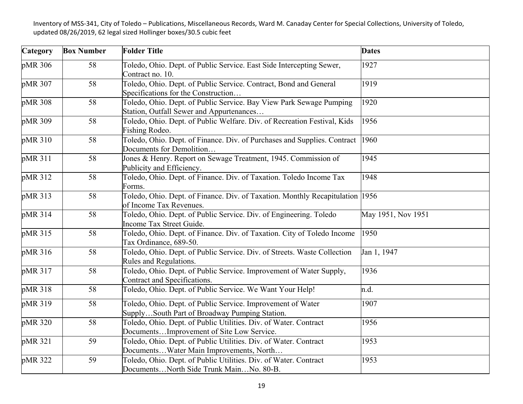| Category | <b>Box Number</b> | <b>Folder Title</b>                                                                                             | <b>Dates</b>       |
|----------|-------------------|-----------------------------------------------------------------------------------------------------------------|--------------------|
| pMR 306  | 58                | Toledo, Ohio. Dept. of Public Service. East Side Intercepting Sewer,<br>Contract no. 10.                        | 1927               |
| pMR 307  | 58                | Toledo, Ohio. Dept. of Public Service. Contract, Bond and General<br>Specifications for the Construction        | 1919               |
| pMR 308  | 58                | Toledo, Ohio. Dept. of Public Service. Bay View Park Sewage Pumping<br>Station, Outfall Sewer and Appurtenances | 1920               |
| pMR 309  | 58                | Toledo, Ohio. Dept. of Public Welfare. Div. of Recreation Festival, Kids<br>Fishing Rodeo.                      | 1956               |
| pMR 310  | 58                | Toledo, Ohio. Dept. of Finance. Div. of Purchases and Supplies. Contract<br>Documents for Demolition            | 1960               |
| pMR 311  | 58                | Jones & Henry. Report on Sewage Treatment, 1945. Commission of<br>Publicity and Efficiency.                     | 1945               |
| pMR 312  | 58                | Toledo, Ohio. Dept. of Finance. Div. of Taxation. Toledo Income Tax<br>Forms.                                   | 1948               |
| pMR 313  | 58                | Toledo, Ohio. Dept. of Finance. Div. of Taxation. Monthly Recapitulation 1956<br>of Income Tax Revenues.        |                    |
| pMR 314  | 58                | Toledo, Ohio. Dept. of Public Service. Div. of Engineering. Toledo<br>Income Tax Street Guide.                  | May 1951, Nov 1951 |
| pMR 315  | 58                | Toledo, Ohio. Dept. of Finance. Div. of Taxation. City of Toledo Income<br>Tax Ordinance, 689-50.               | 1950               |
| pMR 316  | 58                | Toledo, Ohio. Dept. of Public Service. Div. of Streets. Waste Collection<br>Rules and Regulations.              | Jan 1, 1947        |
| pMR 317  | 58                | Toledo, Ohio. Dept. of Public Service. Improvement of Water Supply,<br>Contract and Specifications.             | 1936               |
| pMR 318  | 58                | Toledo, Ohio. Dept. of Public Service. We Want Your Help!                                                       | n.d.               |
| pMR 319  | 58                | Toledo, Ohio. Dept. of Public Service. Improvement of Water<br>SupplySouth Part of Broadway Pumping Station.    | 1907               |
| pMR 320  | 58                | Toledo, Ohio. Dept. of Public Utilities. Div. of Water. Contract<br>DocumentsImprovement of Site Low Service.   | 1956               |
| pMR 321  | 59                | Toledo, Ohio. Dept. of Public Utilities. Div. of Water. Contract<br>DocumentsWater Main Improvements, North     | 1953               |
| pMR 322  | 59                | Toledo, Ohio. Dept. of Public Utilities. Div. of Water. Contract<br>DocumentsNorth Side Trunk MainNo. 80-B.     | 1953               |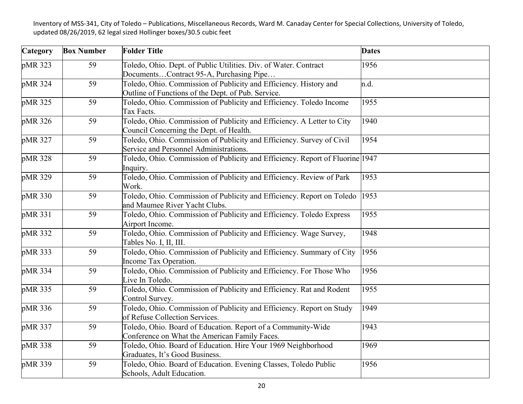| Category | <b>Box Number</b> | <b>Folder Title</b>                                                                                                     | <b>Dates</b> |
|----------|-------------------|-------------------------------------------------------------------------------------------------------------------------|--------------|
| pMR 323  | 59                | Toledo, Ohio. Dept. of Public Utilities. Div. of Water. Contract<br>DocumentsContract 95-A, Purchasing Pipe             | 1956         |
| pMR 324  | 59                | Toledo, Ohio. Commission of Publicity and Efficiency. History and<br>Outline of Functions of the Dept. of Pub. Service. | n.d.         |
| pMR 325  | 59                | Toledo, Ohio. Commission of Publicity and Efficiency. Toledo Income<br>Tax Facts.                                       | 1955         |
| pMR 326  | 59                | Toledo, Ohio. Commission of Publicity and Efficiency. A Letter to City<br>Council Concerning the Dept. of Health.       | 1940         |
| pMR 327  | 59                | Toledo, Ohio. Commission of Publicity and Efficiency. Survey of Civil<br>Service and Personnel Administrations.         | 1954         |
| pMR 328  | 59                | Toledo, Ohio. Commission of Publicity and Efficiency. Report of Fluorine 1947<br>Inquiry.                               |              |
| pMR 329  | 59                | Toledo, Ohio. Commission of Publicity and Efficiency. Review of Park<br>Work.                                           | 1953         |
| pMR 330  | 59                | Toledo, Ohio. Commission of Publicity and Efficiency. Report on Toledo<br>and Maumee River Yacht Clubs.                 | 1953         |
| pMR 331  | 59                | Toledo, Ohio. Commission of Publicity and Efficiency. Toledo Express<br>Airport Income.                                 | 1955         |
| pMR 332  | 59                | Toledo, Ohio. Commission of Publicity and Efficiency. Wage Survey,<br>Tables No. I, II, III.                            | 1948         |
| pMR 333  | 59                | Toledo, Ohio. Commission of Publicity and Efficiency. Summary of City<br>Income Tax Operation.                          | 1956         |
| pMR 334  | 59                | Toledo, Ohio. Commission of Publicity and Efficiency. For Those Who<br>Live In Toledo.                                  | 1956         |
| pMR 335  | 59                | Toledo, Ohio. Commission of Publicity and Efficiency. Rat and Rodent<br>Control Survey.                                 | 1955         |
| pMR 336  | 59                | Toledo, Ohio. Commission of Publicity and Efficiency. Report on Study<br>of Refuse Collection Services.                 | 1949         |
| pMR 337  | 59                | Toledo, Ohio. Board of Education. Report of a Community-Wide<br>Conference on What the American Family Faces.           | 1943         |
| pMR 338  | 59                | Toledo, Ohio. Board of Education. Hire Your 1969 Neighborhood<br>Graduates, It's Good Business.                         | 1969         |
| pMR 339  | 59                | Toledo, Ohio. Board of Education. Evening Classes, Toledo Public<br>Schools, Adult Education.                           | 1956         |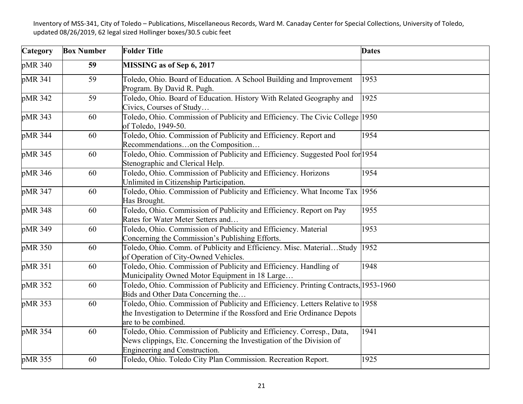| Category | <b>Box Number</b> | <b>Folder Title</b>                                                                                                                                                               | <b>Dates</b> |
|----------|-------------------|-----------------------------------------------------------------------------------------------------------------------------------------------------------------------------------|--------------|
| pMR 340  | 59                | MISSING as of Sep 6, 2017                                                                                                                                                         |              |
| pMR 341  | 59                | Toledo, Ohio. Board of Education. A School Building and Improvement<br>Program. By David R. Pugh.                                                                                 | 1953         |
| pMR 342  | 59                | Toledo, Ohio. Board of Education. History With Related Geography and<br>Civics, Courses of Study                                                                                  | 1925         |
| pMR 343  | 60                | Toledo, Ohio. Commission of Publicity and Efficiency. The Civic College 1950<br>of Toledo, 1949-50.                                                                               |              |
| pMR 344  | 60                | Toledo, Ohio. Commission of Publicity and Efficiency. Report and<br>Recommendationson the Composition                                                                             | 1954         |
| pMR 345  | 60                | Toledo, Ohio. Commission of Publicity and Efficiency. Suggested Pool for 1954<br>Stenographic and Clerical Help.                                                                  |              |
| pMR 346  | 60                | Toledo, Ohio. Commission of Publicity and Efficiency. Horizons<br>Unlimited in Citizenship Participation.                                                                         | 1954         |
| pMR 347  | 60                | Toledo, Ohio. Commission of Publicity and Efficiency. What Income Tax 1956<br>Has Brought.                                                                                        |              |
| pMR 348  | 60                | Toledo, Ohio. Commission of Publicity and Efficiency. Report on Pay<br>Rates for Water Meter Setters and                                                                          | 1955         |
| pMR 349  | 60                | Toledo, Ohio. Commission of Publicity and Efficiency. Material<br>Concerning the Commission's Publishing Efforts.                                                                 | 1953         |
| pMR 350  | 60                | Toledo, Ohio. Comm. of Publicity and Efficiency. Misc. MaterialStudy<br>of Operation of City-Owned Vehicles.                                                                      | 1952         |
| pMR 351  | 60                | Toledo, Ohio. Commission of Publicity and Efficiency. Handling of<br>Municipality Owned Motor Equipment in 18 Large                                                               | 1948         |
| pMR 352  | 60                | Toledo, Ohio. Commission of Publicity and Efficiency. Printing Contracts, 1953-1960<br>Bids and Other Data Concerning the                                                         |              |
| pMR 353  | 60                | Toledo, Ohio. Commission of Publicity and Efficiency. Letters Relative to 1958<br>the Investigation to Determine if the Rossford and Erie Ordinance Depots<br>are to be combined. |              |
| pMR 354  | 60                | Toledo, Ohio. Commission of Publicity and Efficiency. Corresp., Data,<br>News clippings, Etc. Concerning the Investigation of the Division of<br>Engineering and Construction.    | 1941         |
| pMR 355  | 60                | Toledo, Ohio. Toledo City Plan Commission. Recreation Report.                                                                                                                     | 1925         |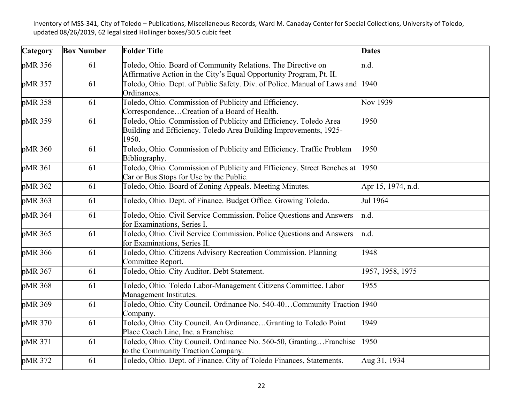| Category | <b>Box Number</b> | <b>Folder Title</b>                                                                                                                             | <b>Dates</b>       |
|----------|-------------------|-------------------------------------------------------------------------------------------------------------------------------------------------|--------------------|
| pMR 356  | 61                | Toledo, Ohio. Board of Community Relations. The Directive on<br>Affirmative Action in the City's Equal Opportunity Program, Pt. II.             | n.d.               |
| pMR 357  | 61                | Toledo, Ohio. Dept. of Public Safety. Div. of Police. Manual of Laws and<br>Ordinances.                                                         | 1940               |
| pMR 358  | 61                | Toledo, Ohio. Commission of Publicity and Efficiency.<br>CorrespondenceCreation of a Board of Health.                                           | Nov 1939           |
| pMR 359  | 61                | Toledo, Ohio. Commission of Publicity and Efficiency. Toledo Area<br>Building and Efficiency. Toledo Area Building Improvements, 1925-<br>1950. | 1950               |
| pMR 360  | 61                | Toledo, Ohio. Commission of Publicity and Efficiency. Traffic Problem<br>Bibliography.                                                          | 1950               |
| pMR 361  | 61                | Toledo, Ohio. Commission of Publicity and Efficiency. Street Benches at<br>Car or Bus Stops for Use by the Public.                              | 1950               |
| pMR 362  | 61                | Toledo, Ohio. Board of Zoning Appeals. Meeting Minutes.                                                                                         | Apr 15, 1974, n.d. |
| pMR 363  | 61                | Toledo, Ohio. Dept. of Finance. Budget Office. Growing Toledo.                                                                                  | Jul 1964           |
| pMR 364  | 61                | Toledo, Ohio. Civil Service Commission. Police Questions and Answers<br>for Examinations, Series I.                                             | n.d.               |
| pMR 365  | 61                | Toledo, Ohio. Civil Service Commission. Police Questions and Answers<br>for Examinations, Series II.                                            | n.d.               |
| pMR 366  | 61                | Toledo, Ohio. Citizens Advisory Recreation Commission. Planning<br>Committee Report.                                                            | 1948               |
| pMR 367  | 61                | Toledo, Ohio. City Auditor. Debt Statement.                                                                                                     | 1957, 1958, 1975   |
| pMR 368  | 61                | Toledo, Ohio. Toledo Labor-Management Citizens Committee. Labor<br>Management Institutes.                                                       | 1955               |
| pMR 369  | 61                | Toledo, Ohio. City Council. Ordinance No. 540-40Community Traction 1940<br>Company.                                                             |                    |
| pMR 370  | 61                | Toledo, Ohio. City Council. An OrdinanceGranting to Toledo Point<br>Place Coach Line, Inc. a Franchise.                                         | 1949               |
| pMR 371  | 61                | Toledo, Ohio. City Council. Ordinance No. 560-50, GrantingFranchise<br>to the Community Traction Company.                                       | 1950               |
| pMR 372  | 61                | Toledo, Ohio. Dept. of Finance. City of Toledo Finances, Statements.                                                                            | Aug 31, 1934       |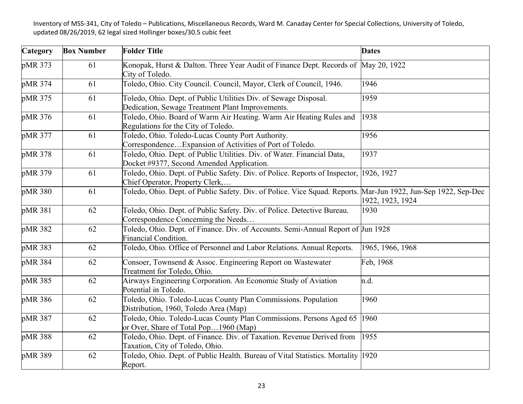| Category | <b>Box Number</b> | <b>Folder Title</b>                                                                                                  | <b>Dates</b>     |
|----------|-------------------|----------------------------------------------------------------------------------------------------------------------|------------------|
| pMR 373  | 61                | Konopak, Hurst & Dalton. Three Year Audit of Finance Dept. Records of May 20, 1922<br>City of Toledo.                |                  |
| pMR 374  | 61                | Toledo, Ohio. City Council. Council, Mayor, Clerk of Council, 1946.                                                  | 1946             |
| pMR 375  | 61                | Toledo, Ohio. Dept. of Public Utilities Div. of Sewage Disposal.<br>Dedication, Sewage Treatment Plant Improvements. | 1959             |
| pMR 376  | 61                | Toledo, Ohio. Board of Warm Air Heating. Warm Air Heating Rules and<br>Regulations for the City of Toledo.           | 1938             |
| pMR 377  | 61                | Toledo, Ohio. Toledo-Lucas County Port Authority.<br>Correspondence Expansion of Activities of Port of Toledo.       | 1956             |
| pMR 378  | 61                | Toledo, Ohio. Dept. of Public Utilities. Div. of Water. Financial Data,<br>Docket #9377, Second Amended Application. | 1937             |
| pMR 379  | 61                | Toledo, Ohio. Dept. of Public Safety. Div. of Police. Reports of Inspector,<br>Chief Operator, Property Clerk,       | 1926, 1927       |
| pMR 380  | 61                | Toledo, Ohio. Dept. of Public Safety. Div. of Police. Vice Squad. Reports. Mar-Jun 1922, Jun-Sep 1922, Sep-Dec       | 1922, 1923, 1924 |
| pMR 381  | 62                | Toledo, Ohio. Dept. of Public Safety. Div. of Police. Detective Bureau.<br>Correspondence Concerning the Needs       | 1930             |
| pMR 382  | 62                | Toledo, Ohio. Dept. of Finance. Div. of Accounts. Semi-Annual Report of Jun 1928<br><b>Financial Condition.</b>      |                  |
| pMR 383  | 62                | Toledo, Ohio. Office of Personnel and Labor Relations. Annual Reports.                                               | 1965, 1966, 1968 |
| pMR 384  | 62                | Consoer, Townsend & Assoc. Engineering Report on Wastewater<br>Treatment for Toledo, Ohio.                           | Feb, 1968        |
| pMR 385  | 62                | Airways Engineering Corporation. An Economic Study of Aviation<br>Potential in Toledo.                               | n.d.             |
| pMR 386  | 62                | Toledo, Ohio. Toledo-Lucas County Plan Commissions. Population<br>Distribution, 1960, Toledo Area (Map)              | 1960             |
| pMR 387  | 62                | Toledo, Ohio. Toledo-Lucas County Plan Commissions. Persons Aged 65<br>or Over, Share of Total Pop1960 (Map)         | 1960             |
| pMR 388  | 62                | Toledo, Ohio. Dept. of Finance. Div. of Taxation. Revenue Derived from<br>Taxation, City of Toledo, Ohio.            | 1955             |
| pMR 389  | 62                | Toledo, Ohio. Dept. of Public Health. Bureau of Vital Statistics. Mortality 1920<br>Report.                          |                  |